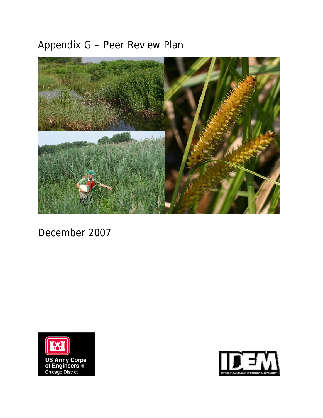# Appendix G – Peer Review Plan



December 2007



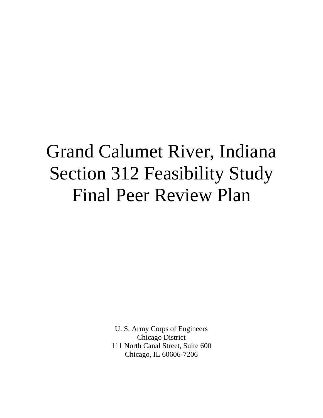U. S. Army Corps of Engineers Chicago District 111 North Canal Street, Suite 600 Chicago, IL 60606-7206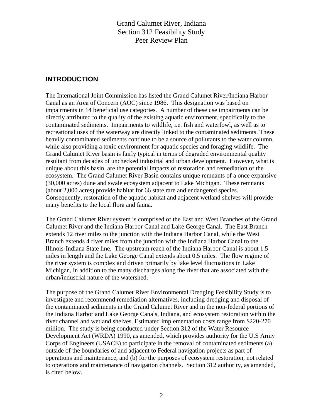#### **INTRODUCTION**

The International Joint Commission has listed the Grand Calumet River/Indiana Harbor Canal as an Area of Concern (AOC) since 1986. This designation was based on impairments in 14 beneficial use categories. A number of these use impairments can be directly attributed to the quality of the existing aquatic environment, specifically to the contaminated sediments. Impairments to wildlife, i.e. fish and waterfowl, as well as to recreational uses of the waterway are directly linked to the contaminated sediments. These heavily contaminated sediments continue to be a source of pollutants to the water column, while also providing a toxic environment for aquatic species and foraging wildlife. The Grand Calumet River basin is fairly typical in terms of degraded environmental quality resultant from decades of unchecked industrial and urban development. However, what is unique about this basin, are the potential impacts of restoration and remediation of the ecosystem. The Grand Calumet River Basin contains unique remnants of a once expansive (30,000 acres) dune and swale ecosystem adjacent to Lake Michigan. These remnants (about 2,000 acres) provide habitat for 66 state rare and endangered species. Consequently, restoration of the aquatic habitat and adjacent wetland shelves will provide many benefits to the local flora and fauna.

The Grand Calumet River system is comprised of the East and West Branches of the Grand Calumet River and the Indiana Harbor Canal and Lake George Canal. The East Branch extends 12 river miles to the junction with the Indiana Harbor Canal, while the West Branch extends 4 river miles from the junction with the Indiana Harbor Canal to the Illinois-Indiana State line. The upstream reach of the Indiana Harbor Canal is about 1.5 miles in length and the Lake George Canal extends about 0.5 miles. The flow regime of the river system is complex and driven primarily by lake level fluctuations in Lake Michigan, in addition to the many discharges along the river that are associated with the urban/industrial nature of the watershed.

The purpose of the Grand Calumet River Environmental Dredging Feasibility Study is to investigate and recommend remediation alternatives, including dredging and disposal of the contaminated sediments in the Grand Calumet River and in the non-federal portions of the Indiana Harbor and Lake George Canals, Indiana, and ecosystem restoration within the river channel and wetland shelves. Estimated implementation costs range from \$220-270 million. The study is being conducted under Section 312 of the Water Resource Development Act (WRDA) 1990, as amended, which provides authority for the U.S Army Corps of Engineers (USACE) to participate in the removal of contaminated sediments (a) outside of the boundaries of and adjacent to Federal navigation projects as part of operations and maintenance, and (b) for the purposes of ecosystem restoration, not related to operations and maintenance of navigation channels. Section 312 authority, as amended, is cited below.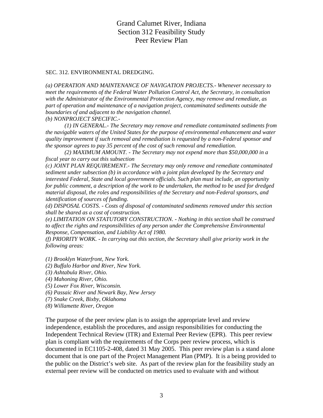#### SEC. 312. ENVIRONMENTAL DREDGING.

*(a) OPERATION AND MAINTENANCE OF NAVIGATION PROJECTS.- Whenever necessary to meet the requirements of the Federal Water Pollution Control Act, the Secretary, in consultation with the Administrator of the Environmental Protection Agency, may remove and remediate, as part of operation and maintenance of a navigation project, contaminated sediments outside the boundaries of and adjacent to the navigation channel. (b) NONPROJECT SPECIFIC.-* 

*(1) IN GENERAL.- The Secretary may remove and remediate contaminated sediments from the navigable waters of the United States for the purpose of environmental enhancement and water quality improvement if such removal and remediation is requested by a non-Federal sponsor and the sponsor agrees to pay 35 percent of the cost of such removal and remediation.* 

*(2) MAXIMUM AMOUNT. - The Secretary may not expend more than \$50,000,000 in a fiscal year to carry out this subsection* 

*(c) JOINT PLAN REQUIREMENT.- The Secretary may only remove and remediate contaminated sediment under subsection (b) in accordance with a joint plan developed by the Secretary and interested Federal, State and local government officials. Such plan must include, an opportunity for public comment, a description of the work to be undertaken, the method to be used for dredged material disposal, the roles and responsibilities of the Secretary and non-Federal sponsors, and identification of sources of funding.* 

*(d) DISPOSAL COSTS. - Costs of disposal of contaminated sediments removed under this section shall be shared as a cost of construction.* 

*(e) LIMITATION ON STATUTORY CONSTRUCTION. - Nothing in this section shall be construed to affect the rights and responsibilities of any person under the Comprehensive Environmental Response, Compensation, and Liability Act of 1980.* 

*(f) PRIORITY WORK. - In carrying out this section, the Secretary shall give priority work in the following areas:* 

- *(1) Brooklyn Waterfront, New York.*
- *(2) Buffalo Harbor and River, New York.*
- *(3) Ashtabula River, Ohio.*
- *(4) Mahoning River, Ohio.*
- *(5) Lower Fox River, Wisconsin.*
- *(6) Passaic River and Newark Bay, New Jersey*
- *(7) Snake Creek, Bixby, Oklahoma*
- *(8) Willamette River, Oregon*

The purpose of the peer review plan is to assign the appropriate level and review independence, establish the procedures, and assign responsibilities for conducting the Independent Technical Review (ITR) and External Peer Review (EPR). This peer review plan is compliant with the requirements of the Corps peer review process, which is documented in EC1105-2-408, dated 31 May 2005. This peer review plan is a stand alone document that is one part of the Project Management Plan (PMP). It is a being provided to the public on the District's web site. As part of the review plan for the feasibility study an external peer review will be conducted on metrics used to evaluate with and without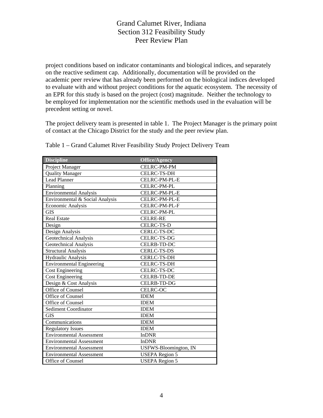project conditions based on indicator contaminants and biological indices, and separately on the reactive sediment cap. Additionally, documentation will be provided on the academic peer review that has already been performed on the biological indices developed to evaluate with and without project conditions for the aquatic ecosystem. The necessity of an EPR for this study is based on the project (cost) magnitude. Neither the technology to be employed for implementation nor the scientific methods used in the evaluation will be precedent setting or novel.

The project delivery team is presented in table 1. The Project Manager is the primary point of contact at the Chicago District for the study and the peer review plan.

| <b>Discipline</b>                | <b>Office/Agency</b>  |  |
|----------------------------------|-----------------------|--|
| Project Manager                  | <b>CELRC-PM-PM</b>    |  |
| <b>Quality Manager</b>           | <b>CELRC-TS-DH</b>    |  |
| <b>Lead Planner</b>              | CELRC-PM-PL-E         |  |
| Planning                         | CELRC-PM-PL           |  |
| <b>Environmental Analysis</b>    | CELRC-PM-PL-E         |  |
| Environmental & Social Analysis  | CELRC-PM-PL-E         |  |
| Economic Analysis                | CELRC-PM-PL-F         |  |
| <b>GIS</b>                       | CELRC-PM-PL           |  |
| <b>Real Estate</b>               | <b>CELRE-RE</b>       |  |
| Design                           | <b>CELRC-TS-D</b>     |  |
| Design Analysis                  | <b>CERLC-TS-DC</b>    |  |
| Geotechnical Analysis            | <b>CELRC-TS-DG</b>    |  |
| Geotechnical Analysis            | <b>CELRB-TD-DC</b>    |  |
| <b>Structural Analysis</b>       | <b>CERLC-TS-DS</b>    |  |
| Hydraulic Analysis               | <b>CERLC-TS-DH</b>    |  |
| <b>Environmental Engineering</b> | <b>CELRC-TS-DH</b>    |  |
| <b>Cost Engineering</b>          | <b>CELRC-TS-DC</b>    |  |
| <b>Cost Engineering</b>          | <b>CELRB-TD-DE</b>    |  |
| Design & Cost Analysis           | <b>CELRB-TD-DG</b>    |  |
| Office of Counsel                | <b>CELRC-OC</b>       |  |
| Office of Counsel                | <b>IDEM</b>           |  |
| Office of Counsel                | <b>IDEM</b>           |  |
| Sediment Coordinator             | <b>IDEM</b>           |  |
| <b>GIS</b>                       | <b>IDEM</b>           |  |
| Communications                   | <b>IDEM</b>           |  |
| <b>Regulatory Issues</b>         | <b>IDEM</b>           |  |
| <b>Environmental Assessment</b>  | <b>InDNR</b>          |  |
| <b>Environmental Assessment</b>  | <b>InDNR</b>          |  |
| <b>Environmental Assessment</b>  | USFWS-Bloomington, IN |  |
| <b>Environmental Assessment</b>  | <b>USEPA Region 5</b> |  |
| Office of Counsel                | <b>USEPA</b> Region 5 |  |

Table 1 – Grand Calumet River Feasibility Study Project Delivery Team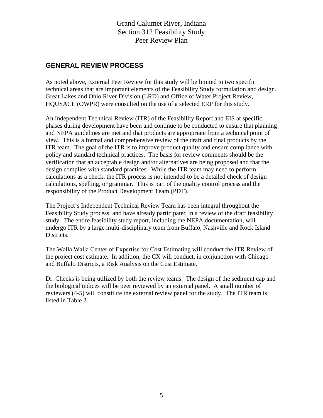#### **GENERAL REVIEW PROCESS**

As noted above, External Peer Review for this study will be limited to two specific technical areas that are important elements of the Feasibility Study formulation and design. Great Lakes and Ohio River Division (LRD) and Office of Water Project Review, HQUSACE (OWPR) were consulted on the use of a selected ERP for this study.

An Independent Technical Review (ITR) of the Feasibility Report and EIS at specific phases during development have been and continue to be conducted to ensure that planning and NEPA guidelines are met and that products are appropriate from a technical point of view. This is a formal and comprehensive review of the draft and final products by the ITR team. The goal of the ITR is to improve product quality and ensure compliance with policy and standard technical practices. The basis for review comments should be the verification that an acceptable design and/or alternatives are being proposed and that the design complies with standard practices. While the ITR team may need to perform calculations as a check, the ITR process is not intended to be a detailed check of design calculations, spelling, or grammar. This is part of the quality control process and the responsibility of the Product Development Team (PDT).

The Project's Independent Technical Review Team has been integral throughout the Feasibility Study process, and have already participated in a review of the draft feasibility study. The entire feasibility study report, including the NEPA documentation, will undergo ITR by a large multi-disciplinary team from Buffalo, Nashville and Rock Island Districts.

The Walla Walla Center of Expertise for Cost Estimating will conduct the ITR Review of the project cost estimate. In addition, the CX will conduct, in conjunction with Chicago and Buffalo Districts, a Risk Analysis on the Cost Estimate.

Dr. Checks is being utilized by both the review teams. The design of the sediment cap and the biological indices will be peer reviewed by an external panel. A small number of reviewers (4-5) will constitute the external review panel for the study. The ITR team is listed in Table 2.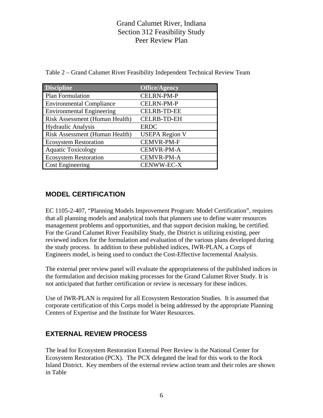| <b>Discipline</b>                | <b>Office/Agency</b>  |
|----------------------------------|-----------------------|
| Plan Formulation                 | <b>CELRN-PM-P</b>     |
| <b>Environmental Compliance</b>  | <b>CELRN-PM-P</b>     |
| <b>Environmental Engineering</b> | <b>CELRB-TD-EE</b>    |
| Risk Assessment (Human Health)   | <b>CELRB-TD-EH</b>    |
| <b>Hydraulic Analysis</b>        | <b>ERDC</b>           |
| Risk Assessment (Human Health)   | <b>USEPA Region V</b> |
| <b>Ecosystem Restoration</b>     | <b>CEMVR-PM-F</b>     |
| <b>Aquatic Toxicology</b>        | <b>CEMVR-PM-A</b>     |
| <b>Ecosystem Restoration</b>     | <b>CEMVR-PM-A</b>     |
| <b>Cost Engineering</b>          | CENWW-EC-X            |

Table 2 – Grand Calumet River Feasibility Independent Technical Review Team

## **MODEL CERTIFICATION**

EC 1105-2-407, "Planning Models Improvement Program: Model Certification", requires that all planning models and analytical tools that planners use to define water resources management problems and opportunities, and that support decision making, be certified. For the Grand Calumet River Feasibility Study, the District is utilizing existing, peer reviewed indices for the formulation and evaluation of the various plans developed during the study process. In addition to these published indices, IWR-PLAN, a Corps of Engineers model, is being used to conduct the Cost-Effective Incremental Analysis.

The external peer review panel will evaluate the appropriateness of the published indices in the formulation and decision making processes for the Grand Calumet River Study. It is not anticipated that further certification or review is necessary for these indices.

Use of IWR-PLAN is required for all Ecosystem Restoration Studies. It is assumed that corporate certification of this Corps model is being addressed by the appropriate Planning Centers of Expertise and the Institute for Water Resources.

# **EXTERNAL REVIEW PROCESS**

The lead for Ecosystem Restoration External Peer Review is the National Center for Ecosystem Restoration (PCX). The PCX delegated the lead for this work to the Rock Island District. Key members of the external review action team and their roles are shown in Table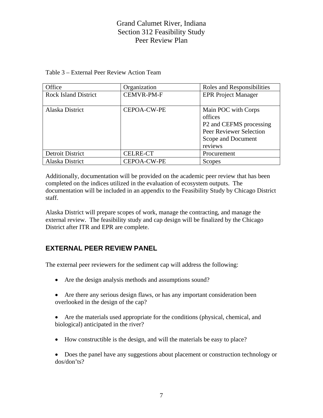#### Table 3 – External Peer Review Action Team

| Office                      | Organization       | Roles and Responsibilities                                                                                            |
|-----------------------------|--------------------|-----------------------------------------------------------------------------------------------------------------------|
| <b>Rock Island District</b> | <b>CEMVR-PM-F</b>  | <b>EPR Project Manager</b>                                                                                            |
| Alaska District             | CEPOA-CW-PE        | Main POC with Corps<br>offices<br>P2 and CEFMS processing<br>Peer Reviewer Selection<br>Scope and Document<br>reviews |
| <b>Detroit District</b>     | <b>CELRE-CT</b>    | Procurement                                                                                                           |
| Alaska District             | <b>CEPOA-CW-PE</b> | Scopes                                                                                                                |

Additionally, documentation will be provided on the academic peer review that has been completed on the indices utilized in the evaluation of ecosystem outputs. The documentation will be included in an appendix to the Feasibility Study by Chicago District staff.

Alaska District will prepare scopes of work, manage the contracting, and manage the external review. The feasibility study and cap design will be finalized by the Chicago District after ITR and EPR are complete.

#### **EXTERNAL PEER REVIEW PANEL**

The external peer reviewers for the sediment cap will address the following:

- Are the design analysis methods and assumptions sound?
- Are there any serious design flaws, or has any important consideration been overlooked in the design of the cap?
- Are the materials used appropriate for the conditions (physical, chemical, and biological) anticipated in the river?
- How constructible is the design, and will the materials be easy to place?

• Does the panel have any suggestions about placement or construction technology or dos/don'ts?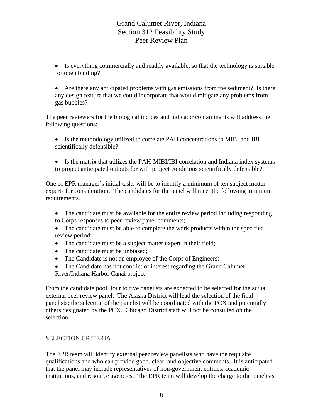• Is everything commercially and readily available, so that the technology is suitable for open bidding?

• Are there any anticipated problems with gas emissions from the sediment? Is there any design feature that we could incorporate that would mitigate any problems from gas bubbles?

The peer reviewers for the biological indices and indicator contaminants will address the following questions:

- Is the methodology utilized to correlate PAH concentrations to MIBI and IBI scientifically defensible?
- Is the matrix that utilizes the PAH-MIBI/IBI correlation and Indiana index systems to project anticipated outputs for with project conditions scientifically defensible?

One of EPR manager's initial tasks will be to identify a minimum of ten subject matter experts for consideration. The candidates for the panel will meet the following minimum requirements.

- The candidate must be available for the entire review period including responding to Corps responses to peer review panel comments;
- The candidate must be able to complete the work products within the specified review period;
- The candidate must be a subject matter expert in their field;
- The candidate must be unbiased;
- The Candidate is not an employee of the Corps of Engineers;
- The Candidate has not conflict of interest regarding the Grand Calumet River/Indiana Harbor Canal project

From the candidate pool, four to five panelists are expected to be selected for the actual external peer review panel. The Alaska District will lead the selection of the final panelists; the selection of the panelist will be coordinated with the PCX and potentially others designated by the PCX. Chicago District staff will not be consulted on the selection.

#### SELECTION CRITERIA

The EPR team will identify external peer review panelists who have the requisite qualifications and who can provide good, clear, and objective comments. It is anticipated that the panel may include representatives of non-government entities, academic institutions, and resource agencies. The EPR team will develop the charge to the panelists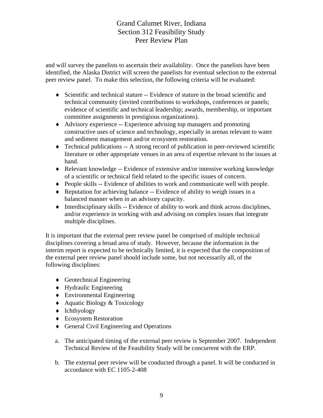and will survey the panelists to ascertain their availability. Once the panelists have been identified, the Alaska District will screen the panelists for eventual selection to the external peer review panel. To make this selection, the following criteria will be evaluated:

- $\bullet$  Scientific and technical stature  $-$  Evidence of stature in the broad scientific and technical community (invited contributions to workshops, conferences or panels; evidence of scientific and technical leadership; awards, membership, or important committee assignments in prestigious organizations).
- ♦ Advisory experience -- Experience advising top managers and promoting constructive uses of science and technology, especially in arenas relevant to water and sediment management and/or ecosystem restoration.
- $\bullet$  Technical publications -- A strong record of publication in peer-reviewed scientific literature or other appropriate venues in an area of expertise relevant to the issues at hand.
- ♦ Relevant knowledge -- Evidence of extensive and/or intensive working knowledge of a scientific or technical field related to the specific issues of concern.
- ♦ People skills -- Evidence of abilities to work and communicate well with people.
- ♦ Reputation for achieving balance -- Evidence of ability to weigh issues in a balanced manner when in an advisory capacity.
- ♦ Interdisciplinary skills -- Evidence of ability to work and think across disciplines, and/or experience in working with and advising on complex issues that integrate multiple disciplines.

It is important that the external peer review panel be comprised of multiple technical disciplines covering a broad area of study. However, because the information in the interim report is expected to be technically limited, it is expected that the composition of the external peer review panel should include some, but not necessarily all, of the following disciplines:

- ♦ Geotechnical Engineering
- ♦ Hydraulic Engineering
- ♦ Environmental Engineering
- ♦ Aquatic Biology & Toxicology
- ♦ Ichthyology
- ♦ Ecosystem Restoration
- ♦ General Civil Engineering and Operations
- a. The anticipated timing of the external peer review is September 2007. Independent Technical Review of the Feasibility Study will be concurrent with the ERP.
- b. The external peer review will be conducted through a panel. It will be conducted in accordance with EC 1105-2-408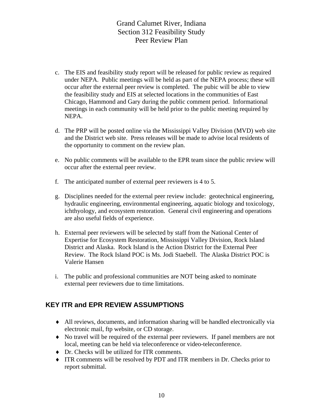- c. The EIS and feasibility study report will be released for public review as required under NEPA. Public meetings will be held as part of the NEPA process; these will occur after the external peer review is completed. The pubic will be able to view the feasibility study and EIS at selected locations in the communities of East Chicago, Hammond and Gary during the public comment period. Informational meetings in each community will be held prior to the public meeting required by NEPA.
- d. The PRP will be posted online via the Mississippi Valley Division (MVD) web site and the District web site. Press releases will be made to advise local residents of the opportunity to comment on the review plan.
- e. No public comments will be available to the EPR team since the public review will occur after the external peer review.
- f. The anticipated number of external peer reviewers is 4 to 5.
- g. Disciplines needed for the external peer review include: geotechnical engineering, hydraulic engineering, environmental engineering, aquatic biology and toxicology, ichthyology, and ecosystem restoration. General civil engineering and operations are also useful fields of experience.
- h. External peer reviewers will be selected by staff from the National Center of Expertise for Ecosystem Restoration, Mississippi Valley Division, Rock Island District and Alaska. Rock Island is the Action District for the External Peer Review. The Rock Island POC is Ms. Jodi Staebell. The Alaska District POC is Valerie Hansen
- i. The public and professional communities are NOT being asked to nominate external peer reviewers due to time limitations.

#### **KEY ITR and EPR REVIEW ASSUMPTIONS**

- ♦ All reviews, documents, and information sharing will be handled electronically via electronic mail, ftp website, or CD storage.
- ♦ No travel will be required of the external peer reviewers. If panel members are not local, meeting can be held via teleconference or video-teleconference.
- ♦ Dr. Checks will be utilized for ITR comments.
- ♦ ITR comments will be resolved by PDT and ITR members in Dr. Checks prior to report submittal.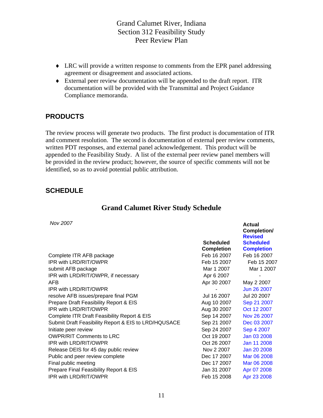- ♦ LRC will provide a written response to comments from the EPR panel addressing agreement or disagreement and associated actions.
- ♦ External peer review documentation will be appended to the draft report. ITR documentation will be provided with the Transmittal and Project Guidance Compliance memoranda.

#### **PRODUCTS**

The review process will generate two products. The first product is documentation of ITR and comment resolution. The second is documentation of external peer review comments, written PDT responses, and external panel acknowledgement. This product will be appended to the Feasibility Study. A list of the external peer review panel members will be provided in the review product; however, the source of specific comments will not be identified, so as to avoid potential public attribution.

#### **SCHEDULE**

#### **Grand Calumet River Study Schedule**

**Actual** 

 *Nov 2007* 

|                                                      |                                | Completion/<br><b>Revised</b>         |  |
|------------------------------------------------------|--------------------------------|---------------------------------------|--|
|                                                      | Scheduled<br><b>Completion</b> | <b>Scheduled</b><br><b>Completion</b> |  |
| Complete ITR AFB package                             | Feb 16 2007                    | Feb 16 2007                           |  |
| IPR with LRD/RIT/OWPR                                | Feb 15 2007                    | Feb 15 2007                           |  |
| submit AFB package                                   | Mar 1 2007                     | Mar 1 2007                            |  |
| IPR with LRD/RIT/OWPR, if necessary                  | Apr 6 2007                     |                                       |  |
| AFB.                                                 | Apr 30 2007                    | May 2 2007                            |  |
| IPR with LRD/RIT/OWPR                                |                                | Jun 26 2007                           |  |
| resolve AFB issues/prepare final PGM                 | Jul 16 2007                    | Jul 20 2007                           |  |
| Prepare Draft Feasibility Report & EIS               | Aug 10 2007                    | Sep 21 2007                           |  |
| IPR with LRD/RIT/OWPR                                | Aug 30 2007                    | Oct 12 2007                           |  |
| Complete ITR Draft Feasibility Report & EIS          | Sep 14 2007                    | Nov 26 2007                           |  |
| Submit Draft Feasibility Report & EIS to LRD/HQUSACE | Sep 21 2007                    | Dec 03 2007                           |  |
| Initiate peer review                                 | Sep 24 2007                    | Sep 4 2007                            |  |
| <b>OWPR/RIT Comments to LRC</b>                      | Oct 19 2007                    | Jan 03 2008                           |  |
| IPR with LRD/RIT/OWPR                                | Oct 26 2007                    | Jan 11 2008                           |  |
| Release DEIS for 45 day public review                | Nov 2 2007                     | Jan 20 2008                           |  |
| Public and peer review complete                      | Dec 17 2007                    | Mar 06 2008                           |  |
| Final public meeting                                 | Dec 17 2007                    | Mar 06 2008                           |  |
| Prepare Final Feasibility Report & EIS               | Jan 31 2007                    | Apr 07 2008                           |  |
| IPR with LRD/RIT/OWPR                                | Feb 15 2008                    | Apr 23 2008                           |  |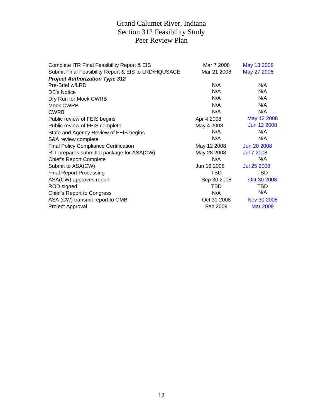| Complete ITR Final Feasibility Report & EIS          | Mar 7 2008  | May 13 2008        |
|------------------------------------------------------|-------------|--------------------|
| Submit Final Feasibility Report & EIS to LRD/HQUSACE | Mar 21 2008 | May 27 2008        |
| <b>Project Authorization Type 312</b>                |             |                    |
| Pre-Brief w/LRD                                      | N/A         | N/A                |
| DE's Notice                                          | N/A         | N/A                |
| Dry Run for Mock CWRB                                | N/A         | N/A                |
| Mock CWRB                                            | N/A         | N/A                |
| <b>CWRB</b>                                          | N/A         | N/A                |
| Public review of FEIS begins                         | Apr 4 2008  | May 12 2008        |
| Public review of FEIS complete                       | May 4 2008  | Jun 12 2008        |
| State and Agency Review of FEIS begins               | N/A         | N/A                |
| S&A review complete                                  | N/A         | N/A                |
| <b>Final Policy Compliance Certification</b>         | May 12 2008 | Jun 20 2008        |
| RIT prepares submittal package for ASA(CW)           | May 28 2008 | <b>Jul 7 2008</b>  |
| <b>Chief's Report Complete</b>                       | N/A         | N/A                |
| Submit to ASA(CW)                                    | Jun 16 2008 | <b>Jul 25 2008</b> |
| <b>Final Report Processing</b>                       | TBD         | TBD                |
| ASA(CW) approves report                              | Sep 30 2008 | Oct 30 2008        |
| ROD signed                                           | TBD         | TBD                |
| Chief's Report to Congress                           | N/A         | N/A                |
| ASA (CW) transmit report to OMB                      | Oct 31 2008 | Nov 30 2008        |
| Project Approval                                     | Feb 2009    | <b>Mar 2009</b>    |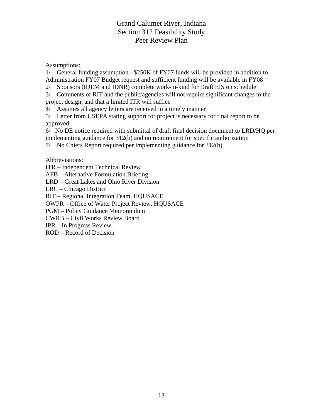Assumptions:

1/ General funding assumption - \$250K of FY07 funds will be provided in addition to Administration FY07 Budget request and sufficient funding will be available in FY08

2/ Sponsors (IDEM and IDNR) complete work-in-kind for Draft EIS on schedule

3/ Comments of RIT and the public/agencies will not require significant changes to the project design, and that a limited ITR will suffice

4/ Assumes all agency letters are received in a timely manner

5/ Letter from USEPA stating support for project is necessary for final report to be approved

6/ No DE notice required with submittal of draft final decision document to LRD/HQ per implementing guidance for 312(b) and no requirement for specific authorization

7/ No Chiefs Report required per implementing guidance for 312(b)

Abbreviations:

ITR – Independent Technical Review

AFB – Alternative Formulation Briefing

LRD – Great Lakes and Ohio River Division

LRC – Chicago District

RIT – Regional Integration Team, HQUSACE

OWPR – Office of Water Project Review, HQUSACE

PGM – Policy Guidance Memorandum

CWRB – Civil Works Review Board

IPR – In Progress Review

ROD – Record of Decision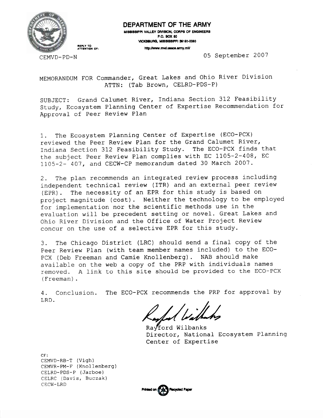

#### DEPARTMENT OF THE ARMY

MISSISSIPPI VALLEY DIVISION, CORPS OF ENGINEERS **P.O. BOX 80** VICKSBURG, MISSISSIPPI 39181-0060

http://www.mvd.usace.army.mlt/

CEMVD-PD-N

REPLY TO<br>ATTENTION OF:

05 September 2007

MEMORANDUM FOR Commander, Great Lakes and Ohio River Division ATTN: (Tab Brown, CELRD-PDS-P)

SUBJECT: Grand Calumet River, Indiana Section 312 Feasibility Study, Ecosystem Planning Center of Expertise Recommendation for Approval of Peer Review Plan

The Ecosystem Planning Center of Expertise (ECO-PCX)  $1<sub>1</sub>$ reviewed the Peer Review Plan for the Grand Calumet River, Indiana Section 312 Feasibility Study. The ECO-PCX finds that the subject Peer Review Plan complies with EC 1105-2-408, EC 1105-2- 407, and CECW-CP memorandum dated 30 March 2007.

The plan recommends an integrated review process including 2. independent technical review (ITR) and an external peer review (EPR). The necessity of an EPR for this study is based on project magnitude (cost). Neither the technology to be employed for implementation nor the scientific methods use in the evaluation will be precedent setting or novel. Great Lakes and Ohio River Division and the Office of Water Project Review concur on the use of a selective EPR for this study.

The Chicago District (LRC) should send a final copy of the 3. Peer Review Plan (with team member names included) to the ECO-PCX (Deb Freeman and Camie Knollenberg). NAB should make available on the web a copy of the PRP with individuals names removed. A link to this site should be provided to the ECO-PCX (Freeman).

4. Conclusion. The ECO-PCX recommends the PRP for approval by LRD.

d bidh

Ravford Wilbanks Director, National Ecosystem Planning Center of Expertise

 $CF:$ CEMVD-RB-T (Vigh) CEMVR-PM-F (Knollenberg) CELRD-PDS-P (Jarboe) CELRC (Davis, Buczak) CECW-LRD

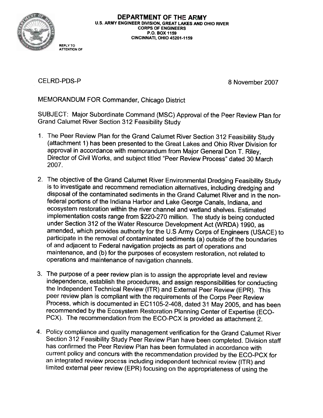

DEPARTMENT OF THE ARMY U.S. ARMY ENGINEER DIVISION, GREAT LAKES AND OHIO RIVER **CORPS OF ENGINEERS** P.O. BOX 1159 **CINCINNATI, OHIO 45201-1159** 

**CELRD-PDS-P** 

**REPLY TO ATTENTION OF** 

8 November 2007

MEMORANDUM FOR Commander, Chicago District

SUBJECT: Major Subordinate Command (MSC) Approval of the Peer Review Plan for **Grand Calumet River Section 312 Feasibility Study** 

- 1. The Peer Review Plan for the Grand Calumet River Section 312 Feasibility Study (attachment 1) has been presented to the Great Lakes and Ohio River Division for approval in accordance with memorandum from Major General Don T. Riley, Director of Civil Works, and subject titled "Peer Review Process" dated 30 March 2007.
- 2. The objective of the Grand Calumet River Environmental Dredging Feasibility Study is to investigate and recommend remediation alternatives, including dredging and disposal of the contaminated sediments in the Grand Calumet River and in the nonfederal portions of the Indiana Harbor and Lake George Canals, Indiana, and ecosystem restoration within the river channel and wetland shelves. Estimated implementation costs range from \$220-270 million. The study is being conducted under Section 312 of the Water Resource Development Act (WRDA) 1990, as amended, which provides authority for the U.S Army Corps of Engineers (USACE) to participate in the removal of contaminated sediments (a) outside of the boundaries of and adjacent to Federal navigation projects as part of operations and maintenance, and (b) for the purposes of ecosystem restoration, not related to operations and maintenance of navigation channels.
- 3. The purpose of a peer review plan is to assign the appropriate level and review independence, establish the procedures, and assign responsibilities for conducting the Independent Technical Review (ITR) and External Peer Review (EPR). This peer review plan is compliant with the requirements of the Corps Peer Review Process, which is documented in EC1105-2-408, dated 31 May 2005, and has been recommended by the Ecosystem Restoration Planning Center of Expertise (ECO-PCX). The recommendation from the ECO-PCX is provided as attachment 2.
- 4. Policy compliance and quality management verification for the Grand Calumet River Section 312 Feasibility Study Peer Review Plan have been completed. Division staff has confirmed the Peer Review Plan has been formulated in accordance with current policy and concurs with the recommendation provided by the ECO-PCX for an integrated review process including independent technical review (ITR) and limited external peer review (EPR) focusing on the appropriateness of using the